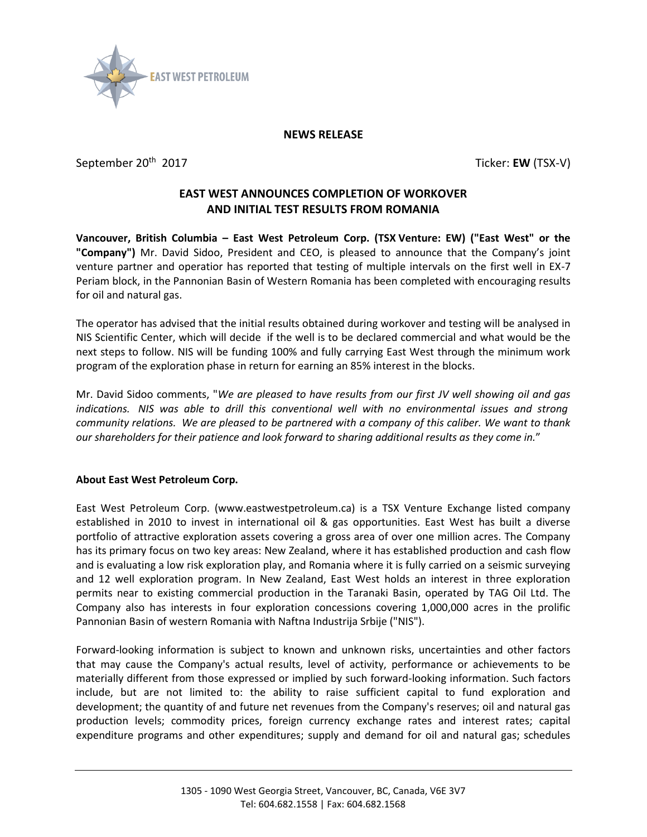

## **NEWS RELEASE**

September 20<sup>th</sup> 2017 **Ticker: EW** (TSX-V)

## **EAST WEST ANNOUNCES COMPLETION OF WORKOVER AND INITIAL TEST RESULTS FROM ROMANIA**

**Vancouver, British Columbia – East West Petroleum Corp. (TSX Venture: EW) ("East West" or the "Company")** Mr. David Sidoo, President and CEO, is pleased to announce that the Company's joint venture partner and operatior has reported that testing of multiple intervals on the first well in EX-7 Periam block, in the Pannonian Basin of Western Romania has been completed with encouraging results for oil and natural gas.

The operator has advised that the initial results obtained during workover and testing will be analysed in NIS Scientific Center, which will decide if the well is to be declared commercial and what would be the next steps to follow. NIS will be funding 100% and fully carrying East West through the minimum work program of the exploration phase in return for earning an 85% interest in the blocks.

Mr. David Sidoo comments, "*We are pleased to have results from our first JV well showing oil and gas indications. NIS was able to drill this conventional well with no environmental issues and strong community relations. We are pleased to be partnered with a company of this caliber. We want to thank our shareholders for their patience and look forward to sharing additional results as they come in.*"

## **About East West Petroleum Corp.**

East West Petroleum Corp. (www.eastwestpetroleum.ca) is a TSX Venture Exchange listed company established in 2010 to invest in international oil & gas opportunities. East West has built a diverse portfolio of attractive exploration assets covering a gross area of over one million acres. The Company has its primary focus on two key areas: New Zealand, where it has established production and cash flow and is evaluating a low risk exploration play, and Romania where it is fully carried on a seismic surveying and 12 well exploration program. In New Zealand, East West holds an interest in three exploration permits near to existing commercial production in the Taranaki Basin, operated by TAG Oil Ltd. The Company also has interests in four exploration concessions covering 1,000,000 acres in the prolific Pannonian Basin of western Romania with Naftna Industrija Srbije ("NIS").

Forward-looking information is subject to known and unknown risks, uncertainties and other factors that may cause the Company's actual results, level of activity, performance or achievements to be materially different from those expressed or implied by such forward-looking information. Such factors include, but are not limited to: the ability to raise sufficient capital to fund exploration and development; the quantity of and future net revenues from the Company's reserves; oil and natural gas production levels; commodity prices, foreign currency exchange rates and interest rates; capital expenditure programs and other expenditures; supply and demand for oil and natural gas; schedules